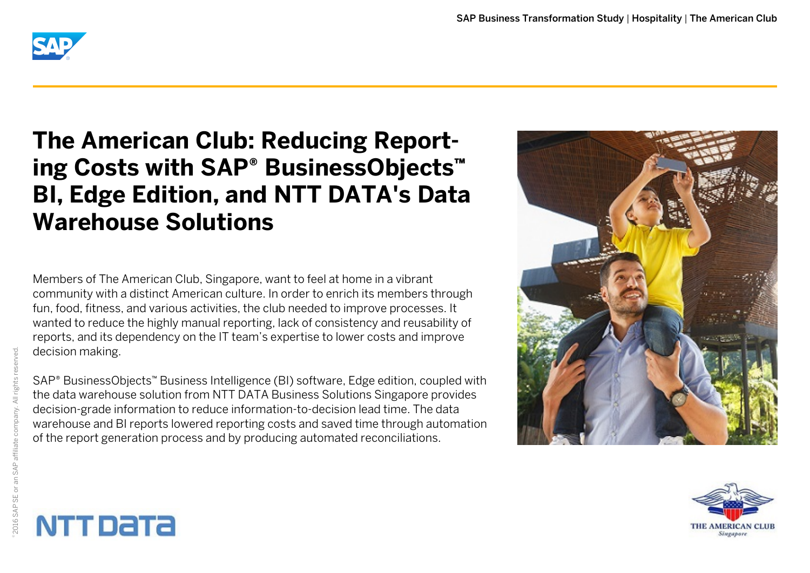

# **The American Club: Reducing Report**ing Costs with SAP<sup>®</sup> BusinessObjects<sup>™</sup> **BI, Edge Edition, and NTT DATA's Data Warehouse Solutions**

Members of The American Club, Singapore, want to feel at home in a vibrant community with a distinct American culture. In order to enrich its members through fun, food, fitness, and various activities, the club needed to improve processes. It wanted to reduce the highly manual reporting, lack of consistency and reusability of reports, and its dependency on the IT team's expertise to lower costs and improve decision making.

SAP<sup>®</sup> BusinessObjects™ Business Intelligence (BI) software, Edge edition, coupled with the data warehouse solution from NTT DATA Business Solutions Singapore provides decision-grade information to reduce information-to-decision lead time. The data warehouse and BI reports lowered reporting costs and saved time through automation of the report generation process and by producing automated reconciliations.





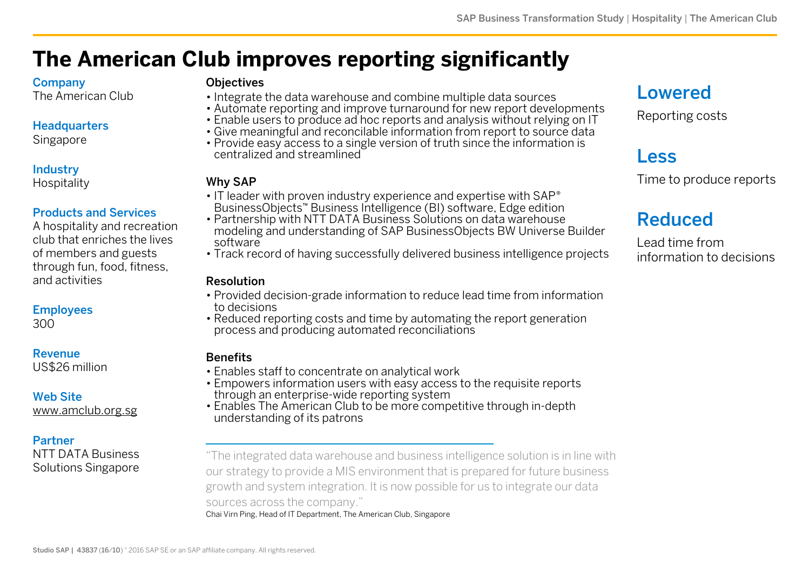## **The American Club improves reporting significantly**

#### **Company**

The American Club

#### **Headquarters**

Singapore

#### Industry

**Hospitality** 

#### Products and Services

A hospitality and recreation club that enriches the lives of members and guests through fun, food, fitness, and activities

#### Employees

300

#### Revenue

US\$26 million

#### Web Site

[www.amclub.org.sg](http://www.amclub.org.sg)

#### Partner

NTT DATA Business Solutions Singapore

#### **Objectives**

- Integrate the data warehouse and combine multiple data sources
- Automate reporting and improve turnaround for new report developments
- Enable users to produce ad hoc reports and analysis without relying on IT
- Give meaningful and reconcilable information from report to source data
- Provide easy access to a single version of truth since the information is centralized and streamlined

#### Why SAP

- IT leader with proven industry experience and expertise with SAP<sup>®</sup> BusinessObjects™ Business Intelligence (BI) software, Edge edition
- Partnership with NTT DATA Business Solutions on data warehouse modeling and understanding of SAP BusinessObjects BW Universe Builder software
- Track record of having successfully delivered business intelligence projects

#### Resolution

- Provided decision-grade information to reduce lead time from information to decisions
- Reduced reporting costs and time by automating the report generation process and producing automated reconciliations

#### **Benefits**

- Enables staff to concentrate on analytical work
- Empowers information users with easy access to the requisite reports through an enterprise-wide reporting system
- Enables The American Club to be more competitive through in-depth understanding of its patrons

"The integrated data warehouse and business intelligence solution is in line with our strategy to provide a MIS environment that is prepared for future business growth and system integration. It is now possible for us to integrate our data sources across the company."

Chai Virn Ping, Head of IT Department, The American Club, Singapore

### Lowered

Reporting costs

### Less

Time to produce reports

## Reduced

Lead time from information to decisions